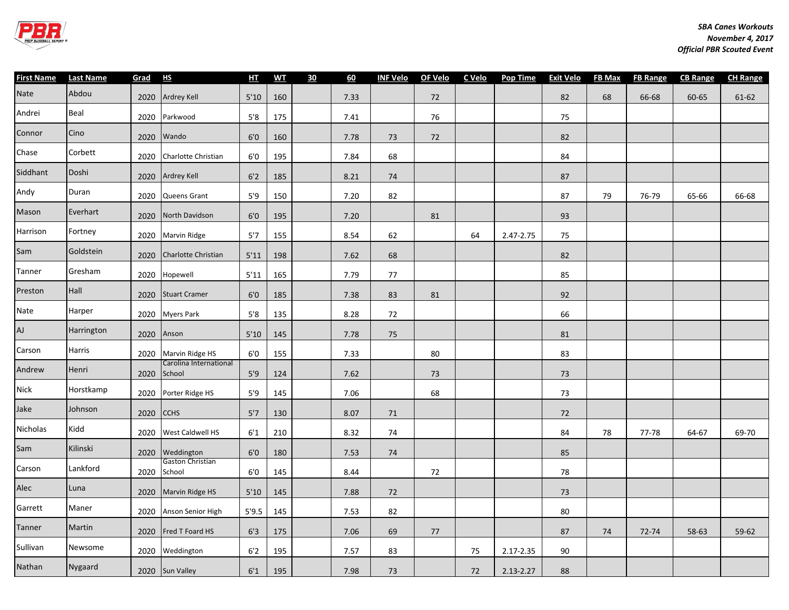

| <b>First Name</b> | <b>Last Name</b> | Grad | H <sub>S</sub>                   | $H$ <sup>T</sup> | <b>WT</b> | 30 | 60   | <b>INF Velo</b> | OF Velo | C Velo | <b>Pop Time</b> | <b>Exit Velo</b> | <b>FB Max</b> | <b>FB Range</b> | <b>CB Range</b> | <b>CH Range</b> |
|-------------------|------------------|------|----------------------------------|------------------|-----------|----|------|-----------------|---------|--------|-----------------|------------------|---------------|-----------------|-----------------|-----------------|
| Nate              | Abdou            |      | 2020 Ardrey Kell                 | $5'10$           | 160       |    | 7.33 |                 | 72      |        |                 | 82               | 68            | 66-68           | 60-65           | $61 - 62$       |
| Andrei            | Beal             |      | 2020 Parkwood                    | 5'8              | 175       |    | 7.41 |                 | 76      |        |                 | 75               |               |                 |                 |                 |
| Connor            | Cino             | 2020 | Wando                            | 6'0              | 160       |    | 7.78 | 73              | 72      |        |                 | 82               |               |                 |                 |                 |
| Chase             | Corbett          | 2020 | Charlotte Christian              | 6'0              | 195       |    | 7.84 | 68              |         |        |                 | 84               |               |                 |                 |                 |
| Siddhant          | Doshi            | 2020 | <b>Ardrey Kell</b>               | 6'2              | 185       |    | 8.21 | 74              |         |        |                 | 87               |               |                 |                 |                 |
| Andy              | Duran            | 2020 | Queens Grant                     | 5'9              | 150       |    | 7.20 | 82              |         |        |                 | 87               | 79            | 76-79           | 65-66           | 66-68           |
| Mason             | Everhart         | 2020 | North Davidson                   | 6'0              | 195       |    | 7.20 |                 | 81      |        |                 | 93               |               |                 |                 |                 |
| Harrison          | Fortney          | 2020 | <b>Marvin Ridge</b>              | 5'7              | 155       |    | 8.54 | 62              |         | 64     | 2.47-2.75       | 75               |               |                 |                 |                 |
| Sam               | Goldstein        | 2020 | Charlotte Christian              | 5'11             | 198       |    | 7.62 | 68              |         |        |                 | 82               |               |                 |                 |                 |
| Tanner            | Gresham          | 2020 | Hopewell                         | 5'11             | 165       |    | 7.79 | 77              |         |        |                 | 85               |               |                 |                 |                 |
| Preston           | Hall             | 2020 | <b>Stuart Cramer</b>             | 6'0              | 185       |    | 7.38 | 83              | 81      |        |                 | 92               |               |                 |                 |                 |
| Nate              | Harper           |      | 2020 Myers Park                  | $5'8$            | 135       |    | 8.28 | 72              |         |        |                 | 66               |               |                 |                 |                 |
| AJ                | Harrington       | 2020 | Anson                            | $5'10$           | 145       |    | 7.78 | 75              |         |        |                 | 81               |               |                 |                 |                 |
| Carson            | Harris           |      | 2020 Marvin Ridge HS             | 6'0              | 155       |    | 7.33 |                 | 80      |        |                 | 83               |               |                 |                 |                 |
| Andrew            | Henri            | 2020 | Carolina International<br>School | 5'9              | 124       |    | 7.62 |                 | 73      |        |                 | 73               |               |                 |                 |                 |
| Nick              | Horstkamp        |      | 2020 Porter Ridge HS             | 5'9              | 145       |    | 7.06 |                 | 68      |        |                 | 73               |               |                 |                 |                 |
| Jake              | Johnson          | 2020 | <b>CCHS</b>                      | 5'7              | 130       |    | 8.07 | 71              |         |        |                 | 72               |               |                 |                 |                 |
| Nicholas          | Kidd             | 2020 | West Caldwell HS                 | 6'1              | 210       |    | 8.32 | 74              |         |        |                 | 84               | 78            | 77-78           | 64-67           | 69-70           |
| Sam               | Kilinski         | 2020 | Weddington                       | 6'0              | 180       |    | 7.53 | 74              |         |        |                 | 85               |               |                 |                 |                 |
| Carson            | Lankford         | 2020 | Gaston Christian<br>School       | 6'0              | 145       |    | 8.44 |                 | 72      |        |                 | 78               |               |                 |                 |                 |
| Alec              | Luna             | 2020 | Marvin Ridge HS                  | 5'10             | 145       |    | 7.88 | 72              |         |        |                 | $73$             |               |                 |                 |                 |
| Garrett           | Maner            |      | 2020 Anson Senior High           | 5'9.5            | 145       |    | 7.53 | 82              |         |        |                 | 80               |               |                 |                 |                 |
| Tanner            | Martin           | 2020 | Fred T Foard HS                  | 6'3              | 175       |    | 7.06 | 69              | 77      |        |                 | 87               | 74            | 72-74           | 58-63           | 59-62           |
| Sullivan          | Newsome          |      | 2020 Weddington                  | $6'2$            | 195       |    | 7.57 | 83              |         | 75     | 2.17-2.35       | 90               |               |                 |                 |                 |
| Nathan            | Nygaard          |      | 2020 Sun Valley                  | 6'1              | 195       |    | 7.98 | 73              |         | 72     | 2.13-2.27       | 88               |               |                 |                 |                 |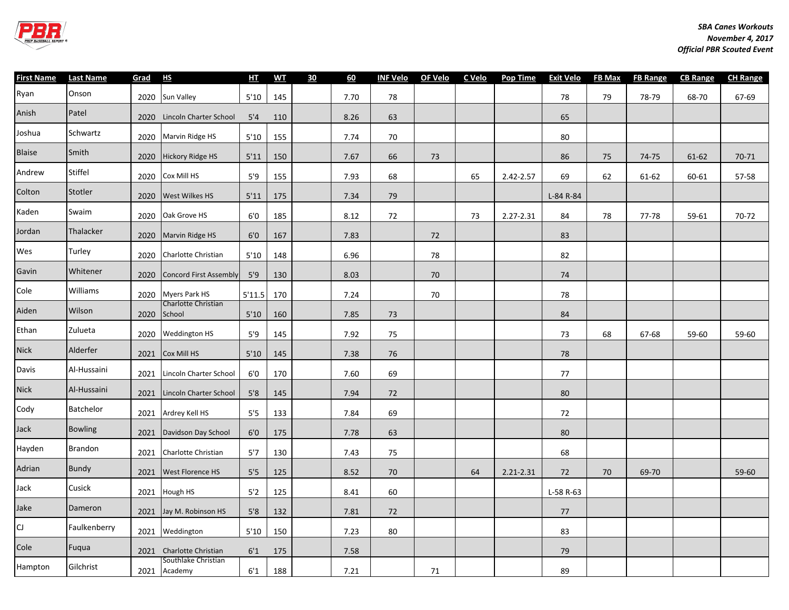

| First Name    | <b>Last Name</b> | Grad | H <sub>S</sub>                      | HT     | <b>WT</b> | 30 | 60   | <b>INF Velo</b> | OF Velo | C Velo | <b>Pop Time</b> | <b>Exit Velo</b> | FB Max | <b>FB Range</b> | <b>CB Range</b> | <b>CH Range</b> |
|---------------|------------------|------|-------------------------------------|--------|-----------|----|------|-----------------|---------|--------|-----------------|------------------|--------|-----------------|-----------------|-----------------|
| Ryan          | Onson            |      | 2020 Sun Valley                     | 5'10   | 145       |    | 7.70 | 78              |         |        |                 | 78               | 79     | 78-79           | 68-70           | 67-69           |
| Anish         | Patel            |      | 2020 Lincoln Charter School         | 5'4    | 110       |    | 8.26 | 63              |         |        |                 | 65               |        |                 |                 |                 |
| Joshua        | Schwartz         | 2020 | Marvin Ridge HS                     | 5'10   | 155       |    | 7.74 | 70              |         |        |                 | 80               |        |                 |                 |                 |
| <b>Blaise</b> | Smith            | 2020 | <b>Hickory Ridge HS</b>             | 5'11   | 150       |    | 7.67 | 66              | 73      |        |                 | 86               | 75     | 74-75           | 61-62           | 70-71           |
| Andrew        | Stiffel          | 2020 | Cox Mill HS                         | 5'9    | 155       |    | 7.93 | 68              |         | 65     | 2.42-2.57       | 69               | 62     | 61-62           | 60-61           | 57-58           |
| Colton        | Stotler          | 2020 | West Wilkes HS                      | 5'11   | 175       |    | 7.34 | 79              |         |        |                 | L-84 R-84        |        |                 |                 |                 |
| Kaden         | Swaim            | 2020 | Oak Grove HS                        | 6'0    | 185       |    | 8.12 | 72              |         | 73     | 2.27-2.31       | 84               | 78     | 77-78           | 59-61           | 70-72           |
| Jordan        | Thalacker        | 2020 | Marvin Ridge HS                     | 6'0    | 167       |    | 7.83 |                 | 72      |        |                 | 83               |        |                 |                 |                 |
| Wes           | Turley           | 2020 | Charlotte Christian                 | 5'10   | 148       |    | 6.96 |                 | 78      |        |                 | 82               |        |                 |                 |                 |
| Gavin         | Whitener         | 2020 | <b>Concord First Assembly</b>       | 5'9    | 130       |    | 8.03 |                 | 70      |        |                 | 74               |        |                 |                 |                 |
| Cole          | Williams         |      | 2020 Myers Park HS                  | 5'11.5 | 170       |    | 7.24 |                 | 70      |        |                 | 78               |        |                 |                 |                 |
| Aiden         | Wilson           | 2020 | Charlotte Christian<br>School       | 5'10   | 160       |    | 7.85 | 73              |         |        |                 | 84               |        |                 |                 |                 |
| Ethan         | Zulueta          | 2020 | Weddington HS                       | 5'9    | 145       |    | 7.92 | 75              |         |        |                 | 73               | 68     | 67-68           | 59-60           | 59-60           |
| <b>Nick</b>   | Alderfer         | 2021 | Cox Mill HS                         | 5'10   | 145       |    | 7.38 | 76              |         |        |                 | 78               |        |                 |                 |                 |
| Davis         | Al-Hussaini      | 2021 | Lincoln Charter School              | 6'0    | 170       |    | 7.60 | 69              |         |        |                 | 77               |        |                 |                 |                 |
| <b>Nick</b>   | Al-Hussaini      | 2021 | Lincoln Charter School              | 5'8    | 145       |    | 7.94 | 72              |         |        |                 | 80               |        |                 |                 |                 |
| Cody          | Batchelor        | 2021 | Ardrey Kell HS                      | 5'5    | 133       |    | 7.84 | 69              |         |        |                 | 72               |        |                 |                 |                 |
| Jack          | <b>Bowling</b>   | 2021 | Davidson Day School                 | 6'0    | 175       |    | 7.78 | 63              |         |        |                 | 80               |        |                 |                 |                 |
| Hayden        | <b>Brandon</b>   | 2021 | Charlotte Christian                 | 5'7    | 130       |    | 7.43 | 75              |         |        |                 | 68               |        |                 |                 |                 |
| Adrian        | Bundy            | 2021 | West Florence HS                    | 5'5    | 125       |    | 8.52 | 70              |         | 64     | 2.21-2.31       | 72               | 70     | 69-70           |                 | 59-60           |
| Jack          | Cusick           | 2021 | Hough HS                            | 5'2    | 125       |    | 8.41 | 60              |         |        |                 | L-58 R-63        |        |                 |                 |                 |
| Jake          | Dameron          |      | 2021 Jay M. Robinson HS             | 5'8    | 132       |    | 7.81 | 72              |         |        |                 | 77               |        |                 |                 |                 |
| CJ            | Faulkenberry     |      | 2021 Weddington                     | 5'10   | 150       |    | 7.23 | 80              |         |        |                 | 83               |        |                 |                 |                 |
| Cole          | Fuqua            | 2021 | Charlotte Christian                 | 6'1    | 175       |    | 7.58 |                 |         |        |                 | 79               |        |                 |                 |                 |
| Hampton       | Gilchrist        |      | Southlake Christian<br>2021 Academy | 6'1    | 188       |    | 7.21 |                 | 71      |        |                 | 89               |        |                 |                 |                 |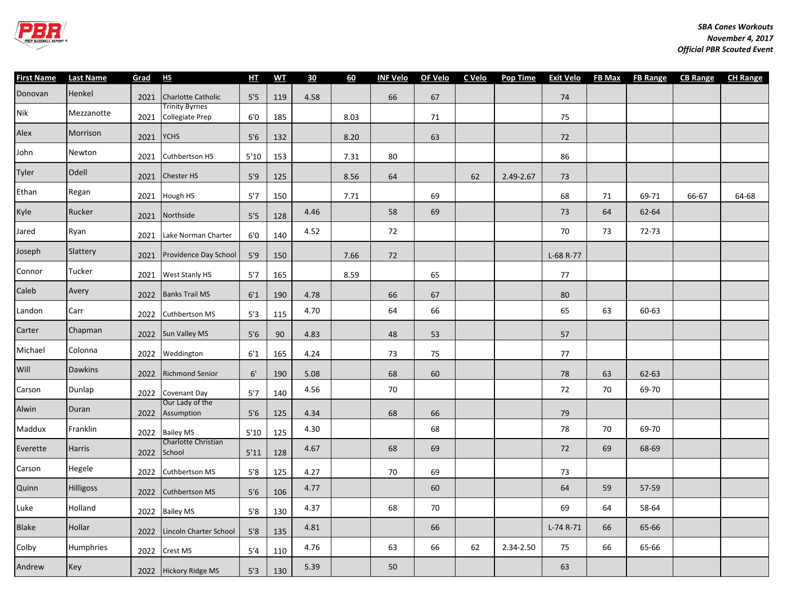

| <b>First Name</b> | <b>Last Name</b> | Grad | HS                                       | H <sub>I</sub> | <b>WT</b> | 30   | 60   | <b>INF Velo</b> | OF Velo C Velo |    | <b>Pop Time</b> | <b>Exit Velo</b> | <b>FB Max</b> |       | FB Range CB Range CH Range |       |
|-------------------|------------------|------|------------------------------------------|----------------|-----------|------|------|-----------------|----------------|----|-----------------|------------------|---------------|-------|----------------------------|-------|
| Donovan           | Henkel           | 2021 | <b>Charlotte Catholic</b>                | 5'5            | 119       | 4.58 |      | 66              | 67             |    |                 | 74               |               |       |                            |       |
| Nik               | Mezzanotte       | 2021 | Trinity Byrnes<br><b>Collegiate Prep</b> | 6'0            | 185       |      | 8.03 |                 | 71             |    |                 | 75               |               |       |                            |       |
| Alex              | Morrison         | 2021 | <b>YCHS</b>                              | 5'6            | 132       |      | 8.20 |                 | 63             |    |                 | 72               |               |       |                            |       |
| John              | Newton           | 2021 | Cuthbertson HS                           | 5'10           | 153       |      | 7.31 | 80              |                |    |                 | 86               |               |       |                            |       |
| Tyler             | Odell            | 2021 | <b>Chester HS</b>                        | 5'9            | 125       |      | 8.56 | 64              |                | 62 | 2.49-2.67       | 73               |               |       |                            |       |
| Ethan             | Regan            | 2021 | Hough HS                                 | 5'7            | 150       |      | 7.71 |                 | 69             |    |                 | 68               | 71            | 69-71 | 66-67                      | 64-68 |
| Kyle              | Rucker           | 2021 | Northside                                | 5'5            | 128       | 4.46 |      | 58              | 69             |    |                 | 73               | 64            | 62-64 |                            |       |
| Jared             | Ryan             | 2021 | Lake Norman Charter                      | 6'0            | 140       | 4.52 |      | 72              |                |    |                 | 70               | 73            | 72-73 |                            |       |
| Joseph            | Slattery         | 2021 | Providence Day School                    | 5'9            | 150       |      | 7.66 | 72              |                |    |                 | L-68 R-77        |               |       |                            |       |
| Connor            | Tucker           |      | 2021 West Stanly HS                      | 5'7            | 165       |      | 8.59 |                 | 65             |    |                 | $77$             |               |       |                            |       |
| Caleb             | Avery            |      | 2022 Banks Trail MS                      | 6'1            | 190       | 4.78 |      | 66              | 67             |    |                 | 80               |               |       |                            |       |
| Landon            | Carr             | 2022 | Cuthbertson MS                           | 5'3            | 115       | 4.70 |      | 64              | 66             |    |                 | 65               | 63            | 60-63 |                            |       |
| Carter            | Chapman          |      | 2022 Sun Valley MS                       | 5'6            | 90        | 4.83 |      | 48              | 53             |    |                 | 57               |               |       |                            |       |
| Michael           | Colonna          | 2022 | Weddington                               | 6'1            | 165       | 4.24 |      | 73              | 75             |    |                 | 77               |               |       |                            |       |
| Will              | <b>Dawkins</b>   | 2022 | <b>Richmond Senior</b>                   | 6'             | 190       | 5.08 |      | 68              | 60             |    |                 | 78               | 63            | 62-63 |                            |       |
| Carson            | Dunlap           |      | 2022 Covenant Day                        | 5'7            | 140       | 4.56 |      | $70\,$          |                |    |                 | 72               | 70            | 69-70 |                            |       |
| Alwin             | Duran            | 2022 | Our Lady of the<br>Assumption            | 5'6            | 125       | 4.34 |      | 68              | 66             |    |                 | 79               |               |       |                            |       |
| Maddux            | Franklin         | 2022 | <b>Bailey MS</b>                         | 5'10           | 125       | 4.30 |      |                 | 68             |    |                 | 78               | 70            | 69-70 |                            |       |
| Everette          | Harris           | 2022 | Charlotte Christian<br>School            | 5'11           | 128       | 4.67 |      | 68              | 69             |    |                 | 72               | 69            | 68-69 |                            |       |
| Carson            | Hegele           | 2022 | Cuthbertson MS                           | 5'8            | 125       | 4.27 |      | 70              | 69             |    |                 | 73               |               |       |                            |       |
| Quinn             | Hilligoss        | 2022 | <b>Cuthbertson MS</b>                    | 5'6            | 106       | 4.77 |      |                 | 60             |    |                 | 64               | 59            | 57-59 |                            |       |
| Luke              | Holland          |      | 2022 Bailey MS                           | 5'8            | 130       | 4.37 |      | 68              | 70             |    |                 | 69               | 64            | 58-64 |                            |       |
| Blake             | Hollar           | 2022 | Lincoln Charter School                   | 5'8            | 135       | 4.81 |      |                 | 66             |    |                 | L-74 R-71        | 66            | 65-66 |                            |       |
| Colby             | Humphries        | 2022 | Crest MS                                 | 5'4            | 110       | 4.76 |      | 63              | 66             | 62 | 2.34-2.50       | 75               | 66            | 65-66 |                            |       |
| Andrew            | Key              |      | 2022 Hickory Ridge MS                    | 5'3            | 130       | 5.39 |      | 50              |                |    |                 | 63               |               |       |                            |       |